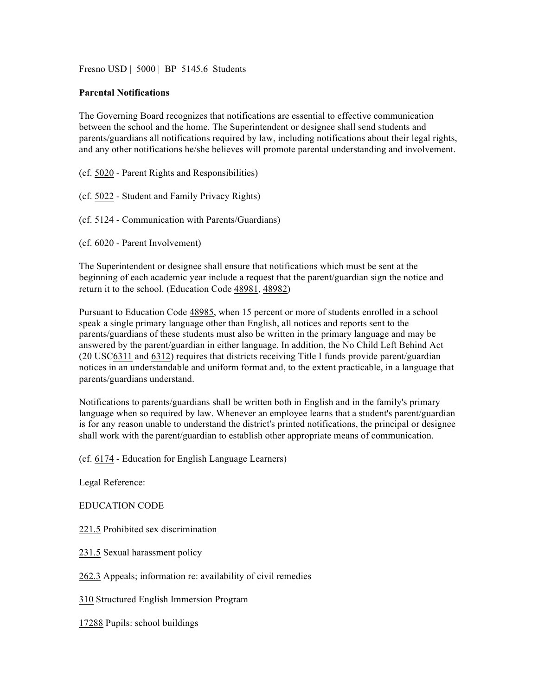Fresno USD | 5000 | BP 5145.6 Students

## **Parental Notifications**

The Governing Board recognizes that notifications are essential to effective communication between the school and the home. The Superintendent or designee shall send students and parents/guardians all notifications required by law, including notifications about their legal rights, and any other notifications he/she believes will promote parental understanding and involvement.

(cf. 5020 - Parent Rights and Responsibilities)

(cf. 5022 - Student and Family Privacy Rights)

(cf. 5124 - Communication with Parents/Guardians)

(cf. 6020 - Parent Involvement)

The Superintendent or designee shall ensure that notifications which must be sent at the beginning of each academic year include a request that the parent/guardian sign the notice and return it to the school. (Education Code 48981, 48982)

Pursuant to Education Code 48985, when 15 percent or more of students enrolled in a school speak a single primary language other than English, all notices and reports sent to the parents/guardians of these students must also be written in the primary language and may be answered by the parent/guardian in either language. In addition, the No Child Left Behind Act (20 USC6311 and 6312) requires that districts receiving Title I funds provide parent/guardian notices in an understandable and uniform format and, to the extent practicable, in a language that parents/guardians understand.

Notifications to parents/guardians shall be written both in English and in the family's primary language when so required by law. Whenever an employee learns that a student's parent/guardian is for any reason unable to understand the district's printed notifications, the principal or designee shall work with the parent/guardian to establish other appropriate means of communication.

(cf. 6174 - Education for English Language Learners)

Legal Reference:

EDUCATION CODE

221.5 Prohibited sex discrimination

231.5 Sexual harassment policy

262.3 Appeals; information re: availability of civil remedies

310 Structured English Immersion Program

17288 Pupils: school buildings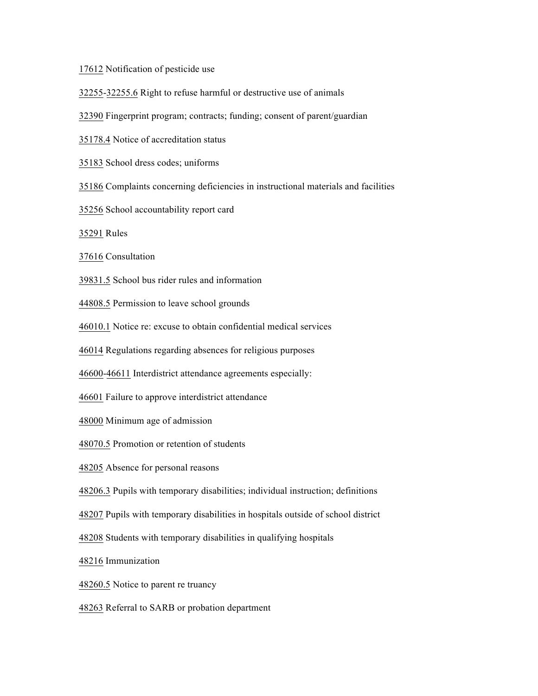Notification of pesticide use

32255-32255.6 Right to refuse harmful or destructive use of animals

Fingerprint program; contracts; funding; consent of parent/guardian

35178.4 Notice of accreditation status

School dress codes; uniforms

Complaints concerning deficiencies in instructional materials and facilities

School accountability report card

Rules

Consultation

39831.5 School bus rider rules and information

44808.5 Permission to leave school grounds

46010.1 Notice re: excuse to obtain confidential medical services

Regulations regarding absences for religious purposes

46600-46611 Interdistrict attendance agreements especially:

Failure to approve interdistrict attendance

Minimum age of admission

48070.5 Promotion or retention of students

Absence for personal reasons

48206.3 Pupils with temporary disabilities; individual instruction; definitions

Pupils with temporary disabilities in hospitals outside of school district

Students with temporary disabilities in qualifying hospitals

Immunization

48260.5 Notice to parent re truancy

Referral to SARB or probation department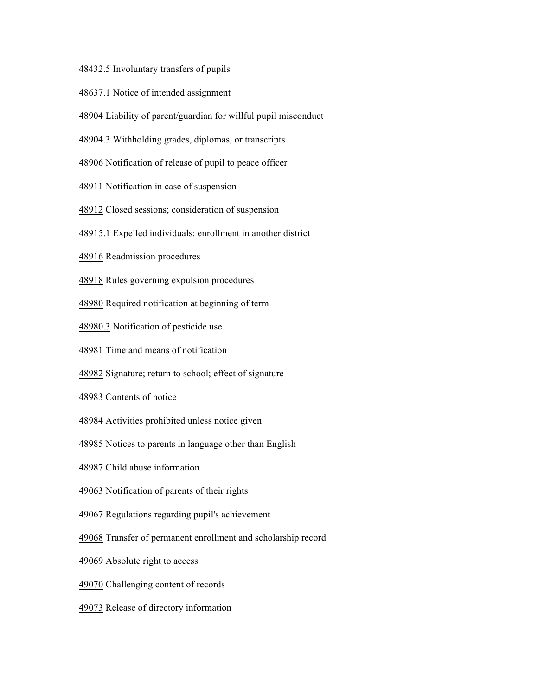48432.5 Involuntary transfers of pupils

- 48637.1 Notice of intended assignment
- Liability of parent/guardian for willful pupil misconduct
- 48904.3 Withholding grades, diplomas, or transcripts
- Notification of release of pupil to peace officer
- Notification in case of suspension
- Closed sessions; consideration of suspension
- 48915.1 Expelled individuals: enrollment in another district
- Readmission procedures
- Rules governing expulsion procedures
- Required notification at beginning of term
- 48980.3 Notification of pesticide use
- Time and means of notification
- Signature; return to school; effect of signature
- Contents of notice
- Activities prohibited unless notice given
- Notices to parents in language other than English
- Child abuse information
- Notification of parents of their rights
- Regulations regarding pupil's achievement
- Transfer of permanent enrollment and scholarship record
- Absolute right to access
- Challenging content of records
- Release of directory information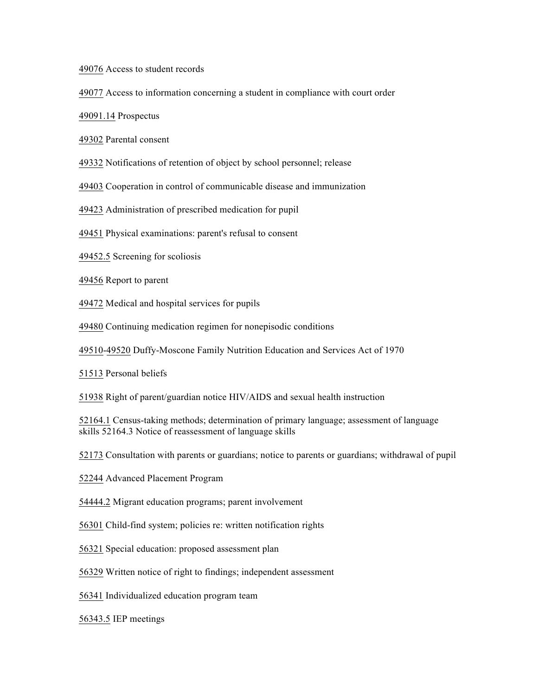Access to student records

Access to information concerning a student in compliance with court order

49091.14 Prospectus

Parental consent

Notifications of retention of object by school personnel; release

Cooperation in control of communicable disease and immunization

Administration of prescribed medication for pupil

Physical examinations: parent's refusal to consent

49452.5 Screening for scoliosis

Report to parent

Medical and hospital services for pupils

Continuing medication regimen for nonepisodic conditions

49510-49520 Duffy-Moscone Family Nutrition Education and Services Act of 1970

Personal beliefs

Right of parent/guardian notice HIV/AIDS and sexual health instruction

52164.1 Census-taking methods; determination of primary language; assessment of language skills 52164.3 Notice of reassessment of language skills

Consultation with parents or guardians; notice to parents or guardians; withdrawal of pupil

Advanced Placement Program

54444.2 Migrant education programs; parent involvement

Child-find system; policies re: written notification rights

Special education: proposed assessment plan

Written notice of right to findings; independent assessment

Individualized education program team

56343.5 IEP meetings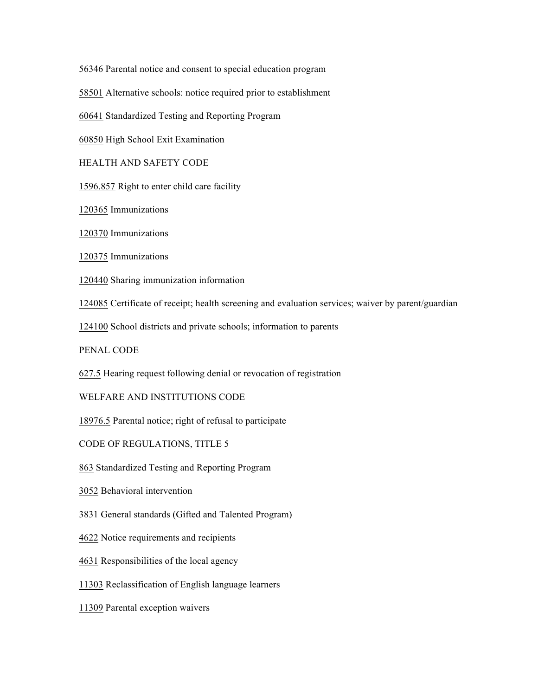Parental notice and consent to special education program

Alternative schools: notice required prior to establishment

Standardized Testing and Reporting Program

High School Exit Examination

HEALTH AND SAFETY CODE

1596.857 Right to enter child care facility

Immunizations

Immunizations

Immunizations

Sharing immunization information

Certificate of receipt; health screening and evaluation services; waiver by parent/guardian

School districts and private schools; information to parents

PENAL CODE

627.5 Hearing request following denial or revocation of registration

WELFARE AND INSTITUTIONS CODE

18976.5 Parental notice; right of refusal to participate

CODE OF REGULATIONS, TITLE 5

Standardized Testing and Reporting Program

Behavioral intervention

General standards (Gifted and Talented Program)

Notice requirements and recipients

Responsibilities of the local agency

Reclassification of English language learners

Parental exception waivers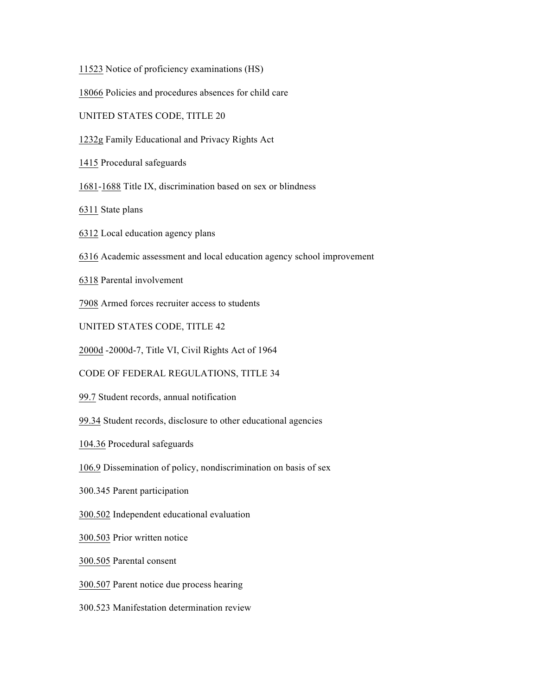11523 Notice of proficiency examinations (HS)

18066 Policies and procedures absences for child care

UNITED STATES CODE, TITLE 20

1232g Family Educational and Privacy Rights Act

1415 Procedural safeguards

1681-1688 Title IX, discrimination based on sex or blindness

6311 State plans

6312 Local education agency plans

6316 Academic assessment and local education agency school improvement

6318 Parental involvement

7908 Armed forces recruiter access to students

UNITED STATES CODE, TITLE 42

2000d -2000d-7, Title VI, Civil Rights Act of 1964

CODE OF FEDERAL REGULATIONS, TITLE 34

99.7 Student records, annual notification

99.34 Student records, disclosure to other educational agencies

104.36 Procedural safeguards

106.9 Dissemination of policy, nondiscrimination on basis of sex

300.345 Parent participation

300.502 Independent educational evaluation

300.503 Prior written notice

300.505 Parental consent

300.507 Parent notice due process hearing

300.523 Manifestation determination review